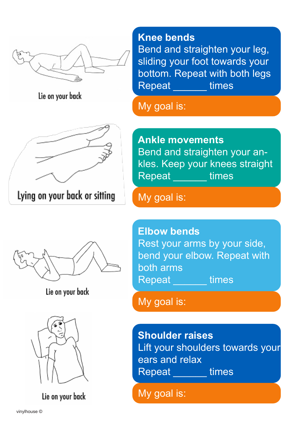

Lie on your back



**Knee bends** 

Bend and straighten your leg, sliding your foot towards your bottom. Repeat with both legs Repeat \_\_\_\_\_\_ times

My goal is:

**Ankle movements** Bend and straighten your ankles. Keep your knees straight Repeat times

Lie on your back



Lie on your back

My goal is:

**Elbow bends**  Rest your arms by your side, bend your elbow. Repeat with both arms Repeat times

My goal is:

**Shoulder raises**  Lift your shoulders towards your ears and relax Repeat times

My goal is: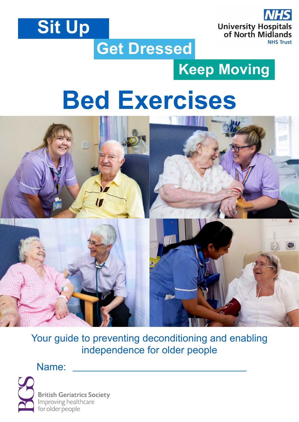



## **Get Dressed**

## **Keep Moving**

## **Bed Exercises**



Your guide to preventing deconditioning and enabling independence for older people

Name:



**British Geriatrics Society** Improving healthcare for older people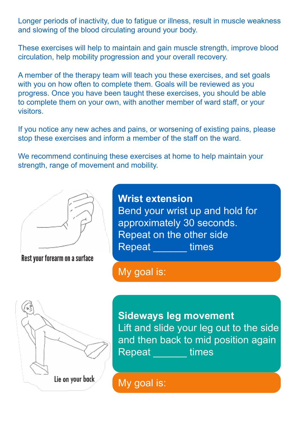Longer periods of inactivity, due to fatigue or illness, result in muscle weakness and slowing of the blood circulating around your body.

These exercises will help to maintain and gain muscle strength, improve blood circulation, help mobility progression and your overall recovery.

A member of the therapy team will teach you these exercises, and set goals with you on how often to complete them. Goals will be reviewed as you progress. Once you have been taught these exercises, you should be able to complete them on your own, with another member of ward staff, or your visitors.

If you notice any new aches and pains, or worsening of existing pains, please stop these exercises and inform a member of the staff on the ward.

We recommend continuing these exercises at home to help maintain your strength, range of movement and mobility.



Rest your forearm on a surface

**Wrist extension** Bend your wrist up and hold for approximately 30 seconds. Repeat on the other side Repeat times

My goal is:



**Sideways leg movement**  Lift and slide your leg out to the side and then back to mid position again Repeat times

My goal is: